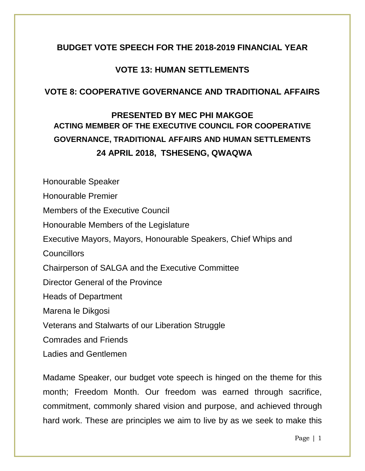### **BUDGET VOTE SPEECH FOR THE 2018-2019 FINANCIAL YEAR**

### **VOTE 13: HUMAN SETTLEMENTS**

### **VOTE 8: COOPERATIVE GOVERNANCE AND TRADITIONAL AFFAIRS**

# **PRESENTED BY MEC PHI MAKGOE ACTING MEMBER OF THE EXECUTIVE COUNCIL FOR COOPERATIVE GOVERNANCE, TRADITIONAL AFFAIRS AND HUMAN SETTLEMENTS 24 APRIL 2018, TSHESENG, QWAQWA**

Honourable Speaker Honourable Premier Members of the Executive Council Honourable Members of the Legislature Executive Mayors, Mayors, Honourable Speakers, Chief Whips and **Councillors** Chairperson of SALGA and the Executive Committee Director General of the Province Heads of Department Marena le Dikgosi Veterans and Stalwarts of our Liberation Struggle Comrades and Friends Ladies and Gentlemen

Madame Speaker, our budget vote speech is hinged on the theme for this month; Freedom Month. Our freedom was earned through sacrifice, commitment, commonly shared vision and purpose, and achieved through hard work. These are principles we aim to live by as we seek to make this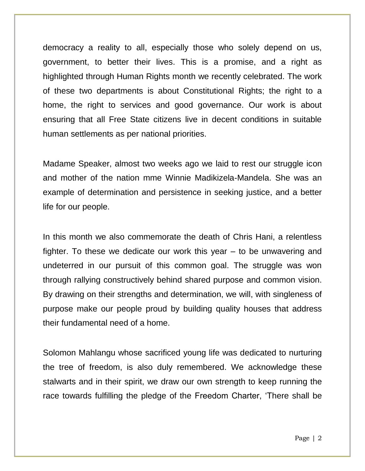democracy a reality to all, especially those who solely depend on us, government, to better their lives. This is a promise, and a right as highlighted through Human Rights month we recently celebrated. The work of these two departments is about Constitutional Rights; the right to a home, the right to services and good governance. Our work is about ensuring that all Free State citizens live in decent conditions in suitable human settlements as per national priorities.

Madame Speaker, almost two weeks ago we laid to rest our struggle icon and mother of the nation mme Winnie Madikizela-Mandela. She was an example of determination and persistence in seeking justice, and a better life for our people.

In this month we also commemorate the death of Chris Hani, a relentless fighter. To these we dedicate our work this year – to be unwavering and undeterred in our pursuit of this common goal. The struggle was won through rallying constructively behind shared purpose and common vision. By drawing on their strengths and determination, we will, with singleness of purpose make our people proud by building quality houses that address their fundamental need of a home.

Solomon Mahlangu whose sacrificed young life was dedicated to nurturing the tree of freedom, is also duly remembered. We acknowledge these stalwarts and in their spirit, we draw our own strength to keep running the race towards fulfilling the pledge of the Freedom Charter, 'There shall be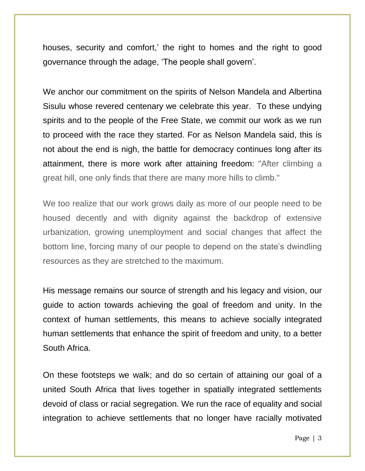houses, security and comfort,' the right to homes and the right to good governance through the adage, 'The people shall govern'.

We anchor our commitment on the spirits of Nelson Mandela and Albertina Sisulu whose revered centenary we celebrate this year. To these undying spirits and to the people of the Free State, we commit our work as we run to proceed with the race they started. For as Nelson Mandela said, this is not about the end is nigh, the battle for democracy continues long after its attainment, there is more work after attaining freedom: "After climbing a great hill, one only finds that there are many more hills to climb."

We too realize that our work grows daily as more of our people need to be housed decently and with dignity against the backdrop of extensive urbanization, growing unemployment and social changes that affect the bottom line, forcing many of our people to depend on the state's dwindling resources as they are stretched to the maximum.

His message remains our source of strength and his legacy and vision, our guide to action towards achieving the goal of freedom and unity. In the context of human settlements, this means to achieve socially integrated human settlements that enhance the spirit of freedom and unity, to a better South Africa.

On these footsteps we walk; and do so certain of attaining our goal of a united South Africa that lives together in spatially integrated settlements devoid of class or racial segregation. We run the race of equality and social integration to achieve settlements that no longer have racially motivated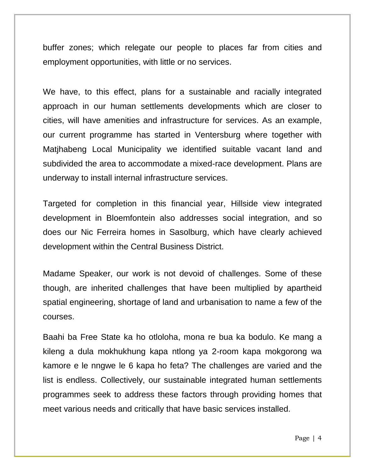buffer zones; which relegate our people to places far from cities and employment opportunities, with little or no services.

We have, to this effect, plans for a sustainable and racially integrated approach in our human settlements developments which are closer to cities, will have amenities and infrastructure for services. As an example, our current programme has started in Ventersburg where together with Matjhabeng Local Municipality we identified suitable vacant land and subdivided the area to accommodate a mixed-race development. Plans are underway to install internal infrastructure services.

Targeted for completion in this financial year, Hillside view integrated development in Bloemfontein also addresses social integration, and so does our Nic Ferreira homes in Sasolburg, which have clearly achieved development within the Central Business District.

Madame Speaker, our work is not devoid of challenges. Some of these though, are inherited challenges that have been multiplied by apartheid spatial engineering, shortage of land and urbanisation to name a few of the courses.

Baahi ba Free State ka ho otloloha, mona re bua ka bodulo. Ke mang a kileng a dula mokhukhung kapa ntlong ya 2-room kapa mokgorong wa kamore e le nngwe le 6 kapa ho feta? The challenges are varied and the list is endless. Collectively, our sustainable integrated human settlements programmes seek to address these factors through providing homes that meet various needs and critically that have basic services installed.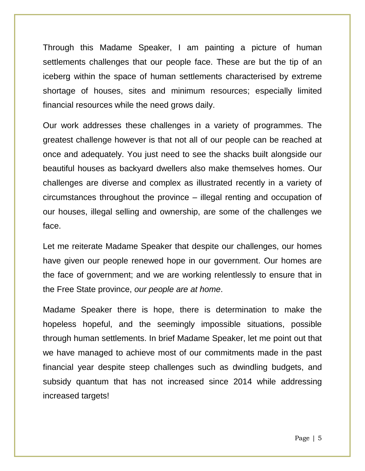Through this Madame Speaker, I am painting a picture of human settlements challenges that our people face. These are but the tip of an iceberg within the space of human settlements characterised by extreme shortage of houses, sites and minimum resources; especially limited financial resources while the need grows daily.

Our work addresses these challenges in a variety of programmes. The greatest challenge however is that not all of our people can be reached at once and adequately. You just need to see the shacks built alongside our beautiful houses as backyard dwellers also make themselves homes. Our challenges are diverse and complex as illustrated recently in a variety of circumstances throughout the province – illegal renting and occupation of our houses, illegal selling and ownership, are some of the challenges we face.

Let me reiterate Madame Speaker that despite our challenges, our homes have given our people renewed hope in our government. Our homes are the face of government; and we are working relentlessly to ensure that in the Free State province, *our people are at home*.

Madame Speaker there is hope, there is determination to make the hopeless hopeful, and the seemingly impossible situations, possible through human settlements. In brief Madame Speaker, let me point out that we have managed to achieve most of our commitments made in the past financial year despite steep challenges such as dwindling budgets, and subsidy quantum that has not increased since 2014 while addressing increased targets!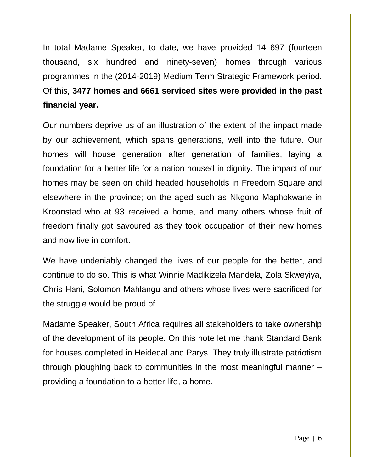In total Madame Speaker, to date, we have provided 14 697 (fourteen thousand, six hundred and ninety-seven) homes through various programmes in the (2014-2019) Medium Term Strategic Framework period. Of this, **3477 homes and 6661 serviced sites were provided in the past financial year.**

Our numbers deprive us of an illustration of the extent of the impact made by our achievement, which spans generations, well into the future. Our homes will house generation after generation of families, laying a foundation for a better life for a nation housed in dignity. The impact of our homes may be seen on child headed households in Freedom Square and elsewhere in the province; on the aged such as Nkgono Maphokwane in Kroonstad who at 93 received a home, and many others whose fruit of freedom finally got savoured as they took occupation of their new homes and now live in comfort.

We have undeniably changed the lives of our people for the better, and continue to do so. This is what Winnie Madikizela Mandela, Zola Skweyiya, Chris Hani, Solomon Mahlangu and others whose lives were sacrificed for the struggle would be proud of.

Madame Speaker, South Africa requires all stakeholders to take ownership of the development of its people. On this note let me thank Standard Bank for houses completed in Heidedal and Parys. They truly illustrate patriotism through ploughing back to communities in the most meaningful manner – providing a foundation to a better life, a home.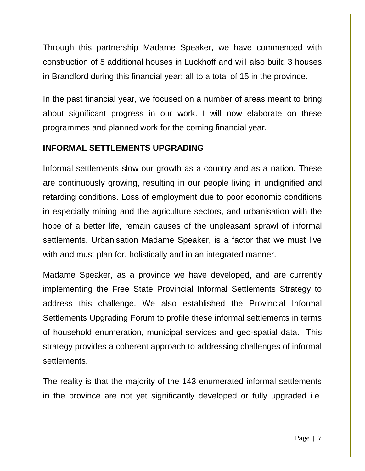Through this partnership Madame Speaker, we have commenced with construction of 5 additional houses in Luckhoff and will also build 3 houses in Brandford during this financial year; all to a total of 15 in the province.

In the past financial year, we focused on a number of areas meant to bring about significant progress in our work. I will now elaborate on these programmes and planned work for the coming financial year.

### **INFORMAL SETTLEMENTS UPGRADING**

Informal settlements slow our growth as a country and as a nation. These are continuously growing, resulting in our people living in undignified and retarding conditions. Loss of employment due to poor economic conditions in especially mining and the agriculture sectors, and urbanisation with the hope of a better life, remain causes of the unpleasant sprawl of informal settlements. Urbanisation Madame Speaker, is a factor that we must live with and must plan for, holistically and in an integrated manner.

Madame Speaker, as a province we have developed, and are currently implementing the Free State Provincial Informal Settlements Strategy to address this challenge. We also established the Provincial Informal Settlements Upgrading Forum to profile these informal settlements in terms of household enumeration, municipal services and geo-spatial data. This strategy provides a coherent approach to addressing challenges of informal settlements.

The reality is that the majority of the 143 enumerated informal settlements in the province are not yet significantly developed or fully upgraded i.e.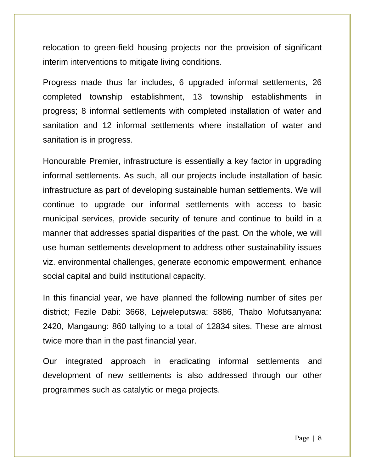relocation to green-field housing projects nor the provision of significant interim interventions to mitigate living conditions.

Progress made thus far includes, 6 upgraded informal settlements, 26 completed township establishment, 13 township establishments in progress; 8 informal settlements with completed installation of water and sanitation and 12 informal settlements where installation of water and sanitation is in progress.

Honourable Premier, infrastructure is essentially a key factor in upgrading informal settlements. As such, all our projects include installation of basic infrastructure as part of developing sustainable human settlements. We will continue to upgrade our informal settlements with access to basic municipal services, provide security of tenure and continue to build in a manner that addresses spatial disparities of the past. On the whole, we will use human settlements development to address other sustainability issues viz. environmental challenges, generate economic empowerment, enhance social capital and build institutional capacity.

In this financial year, we have planned the following number of sites per district; Fezile Dabi: 3668, Lejweleputswa: 5886, Thabo Mofutsanyana: 2420, Mangaung: 860 tallying to a total of 12834 sites. These are almost twice more than in the past financial year.

Our integrated approach in eradicating informal settlements and development of new settlements is also addressed through our other programmes such as catalytic or mega projects.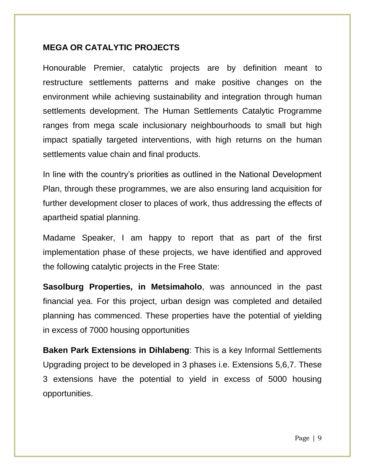### **MEGA OR CATALYTIC PROJECTS**

Honourable Premier, catalytic projects are by definition meant to restructure settlements patterns and make positive changes on the environment while achieving sustainability and integration through human settlements development. The Human Settlements Catalytic Programme ranges from mega scale inclusionary neighbourhoods to small but high impact spatially targeted interventions, with high returns on the human settlements value chain and final products.

In line with the country's priorities as outlined in the National Development Plan, through these programmes, we are also ensuring land acquisition for further development closer to places of work, thus addressing the effects of apartheid spatial planning.

Madame Speaker, I am happy to report that as part of the first implementation phase of these projects, we have identified and approved the following catalytic projects in the Free State:

**Sasolburg Properties, in Metsimaholo**, was announced in the past financial yea. For this project, urban design was completed and detailed planning has commenced. These properties have the potential of yielding in excess of 7000 housing opportunities

**Baken Park Extensions in Dihlabeng**: This is a key Informal Settlements Upgrading project to be developed in 3 phases i.e. Extensions 5,6,7. These 3 extensions have the potential to yield in excess of 5000 housing opportunities.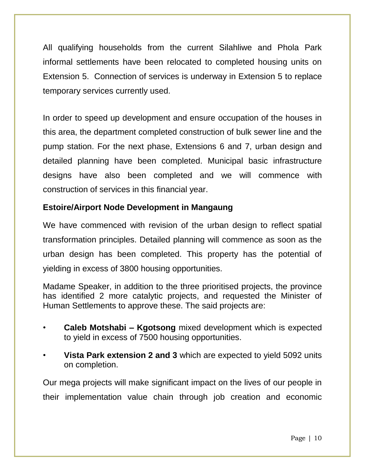All qualifying households from the current Silahliwe and Phola Park informal settlements have been relocated to completed housing units on Extension 5. Connection of services is underway in Extension 5 to replace temporary services currently used.

In order to speed up development and ensure occupation of the houses in this area, the department completed construction of bulk sewer line and the pump station. For the next phase, Extensions 6 and 7, urban design and detailed planning have been completed. Municipal basic infrastructure designs have also been completed and we will commence with construction of services in this financial year.

### **Estoire/Airport Node Development in Mangaung**

We have commenced with revision of the urban design to reflect spatial transformation principles. Detailed planning will commence as soon as the urban design has been completed. This property has the potential of yielding in excess of 3800 housing opportunities.

Madame Speaker, in addition to the three prioritised projects, the province has identified 2 more catalytic projects, and requested the Minister of Human Settlements to approve these. The said projects are:

- **Caleb Motshabi – Kgotsong** mixed development which is expected to yield in excess of 7500 housing opportunities.
- **Vista Park extension 2 and 3** which are expected to yield 5092 units on completion.

Our mega projects will make significant impact on the lives of our people in their implementation value chain through job creation and economic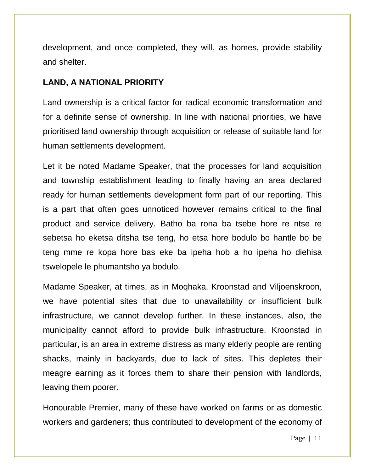development, and once completed, they will, as homes, provide stability and shelter.

### **LAND, A NATIONAL PRIORITY**

Land ownership is a critical factor for radical economic transformation and for a definite sense of ownership. In line with national priorities, we have prioritised land ownership through acquisition or release of suitable land for human settlements development.

Let it be noted Madame Speaker, that the processes for land acquisition and township establishment leading to finally having an area declared ready for human settlements development form part of our reporting. This is a part that often goes unnoticed however remains critical to the final product and service delivery. Batho ba rona ba tsebe hore re ntse re sebetsa ho eketsa ditsha tse teng, ho etsa hore bodulo bo hantle bo be teng mme re kopa hore bas eke ba ipeha hob a ho ipeha ho diehisa tswelopele le phumantsho ya bodulo.

Madame Speaker, at times, as in Moqhaka, Kroonstad and Viljoenskroon, we have potential sites that due to unavailability or insufficient bulk infrastructure, we cannot develop further. In these instances, also, the municipality cannot afford to provide bulk infrastructure. Kroonstad in particular, is an area in extreme distress as many elderly people are renting shacks, mainly in backyards, due to lack of sites. This depletes their meagre earning as it forces them to share their pension with landlords, leaving them poorer.

Honourable Premier, many of these have worked on farms or as domestic workers and gardeners; thus contributed to development of the economy of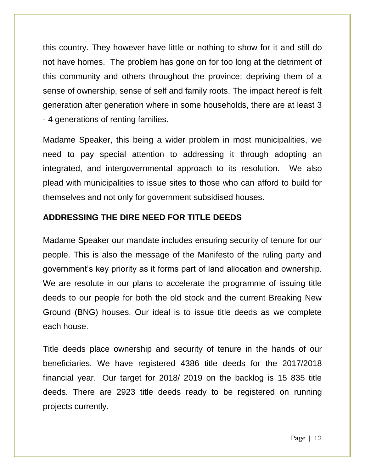this country. They however have little or nothing to show for it and still do not have homes. The problem has gone on for too long at the detriment of this community and others throughout the province; depriving them of a sense of ownership, sense of self and family roots. The impact hereof is felt generation after generation where in some households, there are at least 3 - 4 generations of renting families.

Madame Speaker, this being a wider problem in most municipalities, we need to pay special attention to addressing it through adopting an integrated, and intergovernmental approach to its resolution. We also plead with municipalities to issue sites to those who can afford to build for themselves and not only for government subsidised houses.

### **ADDRESSING THE DIRE NEED FOR TITLE DEEDS**

Madame Speaker our mandate includes ensuring security of tenure for our people. This is also the message of the Manifesto of the ruling party and government's key priority as it forms part of land allocation and ownership. We are resolute in our plans to accelerate the programme of issuing title deeds to our people for both the old stock and the current Breaking New Ground (BNG) houses. Our ideal is to issue title deeds as we complete each house.

Title deeds place ownership and security of tenure in the hands of our beneficiaries. We have registered 4386 title deeds for the 2017/2018 financial year. Our target for 2018/ 2019 on the backlog is 15 835 title deeds. There are 2923 title deeds ready to be registered on running projects currently.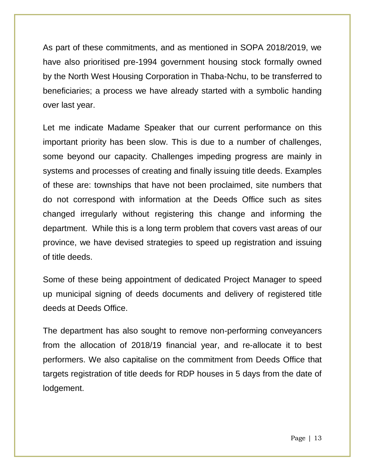As part of these commitments, and as mentioned in SOPA 2018/2019, we have also prioritised pre-1994 government housing stock formally owned by the North West Housing Corporation in Thaba-Nchu, to be transferred to beneficiaries; a process we have already started with a symbolic handing over last year.

Let me indicate Madame Speaker that our current performance on this important priority has been slow. This is due to a number of challenges, some beyond our capacity. Challenges impeding progress are mainly in systems and processes of creating and finally issuing title deeds. Examples of these are: townships that have not been proclaimed, site numbers that do not correspond with information at the Deeds Office such as sites changed irregularly without registering this change and informing the department. While this is a long term problem that covers vast areas of our province, we have devised strategies to speed up registration and issuing of title deeds.

Some of these being appointment of dedicated Project Manager to speed up municipal signing of deeds documents and delivery of registered title deeds at Deeds Office.

The department has also sought to remove non-performing conveyancers from the allocation of 2018/19 financial year, and re-allocate it to best performers. We also capitalise on the commitment from Deeds Office that targets registration of title deeds for RDP houses in 5 days from the date of lodgement.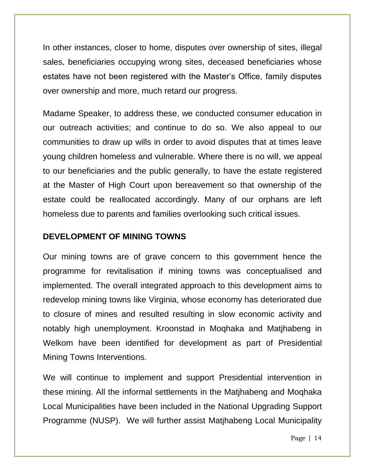In other instances, closer to home, disputes over ownership of sites, illegal sales, beneficiaries occupying wrong sites, deceased beneficiaries whose estates have not been registered with the Master's Office, family disputes over ownership and more, much retard our progress.

Madame Speaker, to address these, we conducted consumer education in our outreach activities; and continue to do so. We also appeal to our communities to draw up wills in order to avoid disputes that at times leave young children homeless and vulnerable. Where there is no will, we appeal to our beneficiaries and the public generally, to have the estate registered at the Master of High Court upon bereavement so that ownership of the estate could be reallocated accordingly. Many of our orphans are left homeless due to parents and families overlooking such critical issues.

### **DEVELOPMENT OF MINING TOWNS**

Our mining towns are of grave concern to this government hence the programme for revitalisation if mining towns was conceptualised and implemented. The overall integrated approach to this development aims to redevelop mining towns like Virginia, whose economy has deteriorated due to closure of mines and resulted resulting in slow economic activity and notably high unemployment. Kroonstad in Moqhaka and Matjhabeng in Welkom have been identified for development as part of Presidential Mining Towns Interventions.

We will continue to implement and support Presidential intervention in these mining. All the informal settlements in the Matjhabeng and Moqhaka Local Municipalities have been included in the National Upgrading Support Programme (NUSP). We will further assist Matjhabeng Local Municipality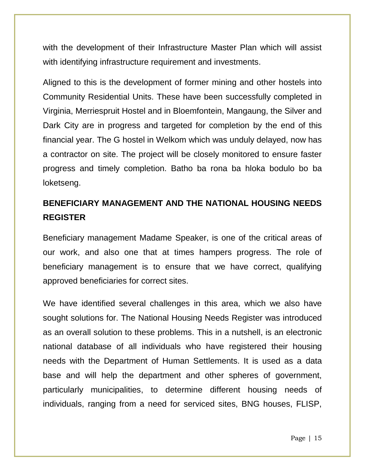with the development of their Infrastructure Master Plan which will assist with identifying infrastructure requirement and investments.

Aligned to this is the development of former mining and other hostels into Community Residential Units. These have been successfully completed in Virginia, Merriespruit Hostel and in Bloemfontein, Mangaung, the Silver and Dark City are in progress and targeted for completion by the end of this financial year. The G hostel in Welkom which was unduly delayed, now has a contractor on site. The project will be closely monitored to ensure faster progress and timely completion. Batho ba rona ba hloka bodulo bo ba loketseng.

# **BENEFICIARY MANAGEMENT AND THE NATIONAL HOUSING NEEDS REGISTER**

Beneficiary management Madame Speaker, is one of the critical areas of our work, and also one that at times hampers progress. The role of beneficiary management is to ensure that we have correct, qualifying approved beneficiaries for correct sites.

We have identified several challenges in this area, which we also have sought solutions for. The National Housing Needs Register was introduced as an overall solution to these problems. This in a nutshell, is an electronic national database of all individuals who have registered their housing needs with the Department of Human Settlements. It is used as a data base and will help the department and other spheres of government, particularly municipalities, to determine different housing needs of individuals, ranging from a need for serviced sites, BNG houses, FLISP,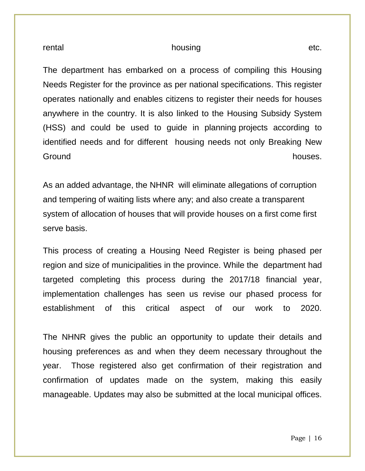#### rental etc.

The department has embarked on a process of compiling this Housing Needs Register for the province as per national specifications. This register operates nationally and enables citizens to register their needs for houses anywhere in the country. It is also linked to the Housing Subsidy System (HSS) and could be used to guide in planning projects according to identified needs and for different housing needs not only Breaking New Ground **houses**.

As an added advantage, the NHNR will eliminate allegations of corruption and tempering of waiting lists where any; and also create a transparent system of allocation of houses that will provide houses on a first come first serve basis.

This process of creating a Housing Need Register is being phased per region and size of municipalities in the province. While the department had targeted completing this process during the 2017/18 financial year, implementation challenges has seen us revise our phased process for establishment of this critical aspect of our work to 2020.

The NHNR gives the public an opportunity to update their details and housing preferences as and when they deem necessary throughout the year. Those registered also get confirmation of their registration and confirmation of updates made on the system, making this easily manageable. Updates may also be submitted at the local municipal offices.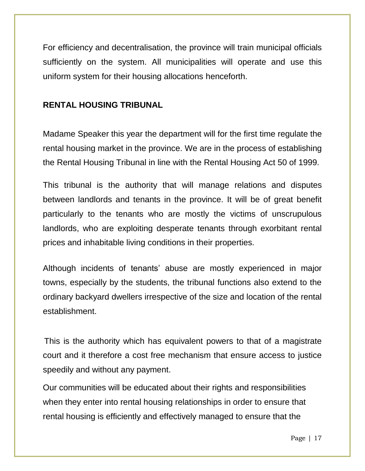For efficiency and decentralisation, the province will train municipal officials sufficiently on the system. All municipalities will operate and use this uniform system for their housing allocations henceforth.

### **RENTAL HOUSING TRIBUNAL**

Madame Speaker this year the department will for the first time regulate the rental housing market in the province. We are in the process of establishing the Rental Housing Tribunal in line with the Rental Housing Act 50 of 1999.

This tribunal is the authority that will manage relations and disputes between landlords and tenants in the province. It will be of great benefit particularly to the tenants who are mostly the victims of unscrupulous landlords, who are exploiting desperate tenants through exorbitant rental prices and inhabitable living conditions in their properties.

Although incidents of tenants' abuse are mostly experienced in major towns, especially by the students, the tribunal functions also extend to the ordinary backyard dwellers irrespective of the size and location of the rental establishment.

This is the authority which has equivalent powers to that of a magistrate court and it therefore a cost free mechanism that ensure access to justice speedily and without any payment.

Our communities will be educated about their rights and responsibilities when they enter into rental housing relationships in order to ensure that rental housing is efficiently and effectively managed to ensure that the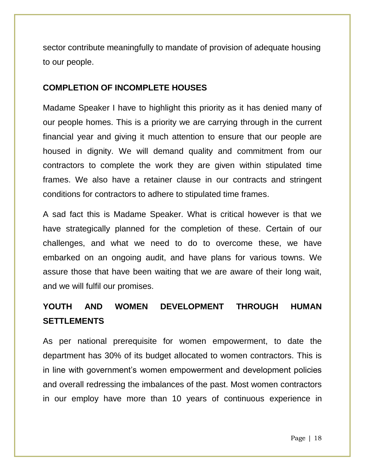sector contribute meaningfully to mandate of provision of adequate housing to our people.

### **COMPLETION OF INCOMPLETE HOUSES**

Madame Speaker I have to highlight this priority as it has denied many of our people homes. This is a priority we are carrying through in the current financial year and giving it much attention to ensure that our people are housed in dignity. We will demand quality and commitment from our contractors to complete the work they are given within stipulated time frames. We also have a retainer clause in our contracts and stringent conditions for contractors to adhere to stipulated time frames.

A sad fact this is Madame Speaker. What is critical however is that we have strategically planned for the completion of these. Certain of our challenges, and what we need to do to overcome these, we have embarked on an ongoing audit, and have plans for various towns. We assure those that have been waiting that we are aware of their long wait, and we will fulfil our promises.

# **YOUTH AND WOMEN DEVELOPMENT THROUGH HUMAN SETTLEMENTS**

As per national prerequisite for women empowerment, to date the department has 30% of its budget allocated to women contractors. This is in line with government's women empowerment and development policies and overall redressing the imbalances of the past. Most women contractors in our employ have more than 10 years of continuous experience in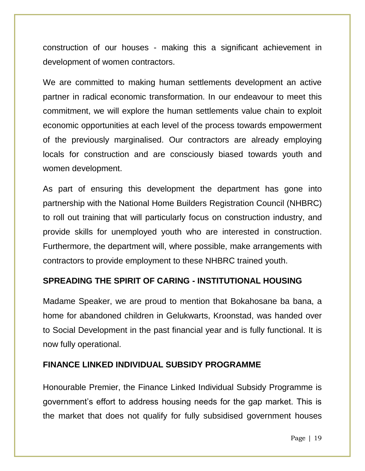construction of our houses - making this a significant achievement in development of women contractors.

We are committed to making human settlements development an active partner in radical economic transformation. In our endeavour to meet this commitment, we will explore the human settlements value chain to exploit economic opportunities at each level of the process towards empowerment of the previously marginalised. Our contractors are already employing locals for construction and are consciously biased towards youth and women development.

As part of ensuring this development the department has gone into partnership with the National Home Builders Registration Council (NHBRC) to roll out training that will particularly focus on construction industry, and provide skills for unemployed youth who are interested in construction. Furthermore, the department will, where possible, make arrangements with contractors to provide employment to these NHBRC trained youth.

### **SPREADING THE SPIRIT OF CARING - INSTITUTIONAL HOUSING**

Madame Speaker, we are proud to mention that Bokahosane ba bana, a home for abandoned children in Gelukwarts, Kroonstad, was handed over to Social Development in the past financial year and is fully functional. It is now fully operational.

### **FINANCE LINKED INDIVIDUAL SUBSIDY PROGRAMME**

Honourable Premier, the Finance Linked Individual Subsidy Programme is government's effort to address housing needs for the gap market. This is the market that does not qualify for fully subsidised government houses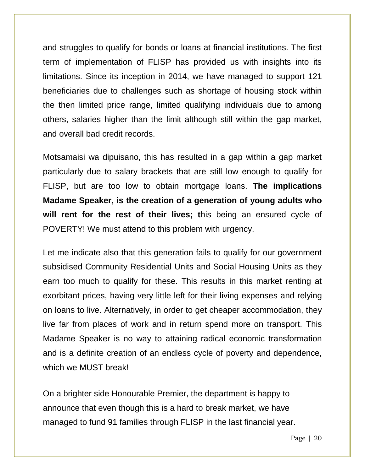and struggles to qualify for bonds or loans at financial institutions. The first term of implementation of FLISP has provided us with insights into its limitations. Since its inception in 2014, we have managed to support 121 beneficiaries due to challenges such as shortage of housing stock within the then limited price range, limited qualifying individuals due to among others, salaries higher than the limit although still within the gap market, and overall bad credit records.

Motsamaisi wa dipuisano, this has resulted in a gap within a gap market particularly due to salary brackets that are still low enough to qualify for FLISP, but are too low to obtain mortgage loans. **The implications Madame Speaker, is the creation of a generation of young adults who will rent for the rest of their lives; t**his being an ensured cycle of POVERTY! We must attend to this problem with urgency.

Let me indicate also that this generation fails to qualify for our government subsidised Community Residential Units and Social Housing Units as they earn too much to qualify for these. This results in this market renting at exorbitant prices, having very little left for their living expenses and relying on loans to live. Alternatively, in order to get cheaper accommodation, they live far from places of work and in return spend more on transport. This Madame Speaker is no way to attaining radical economic transformation and is a definite creation of an endless cycle of poverty and dependence, which we MUST break!

On a brighter side Honourable Premier, the department is happy to announce that even though this is a hard to break market, we have managed to fund 91 families through FLISP in the last financial year.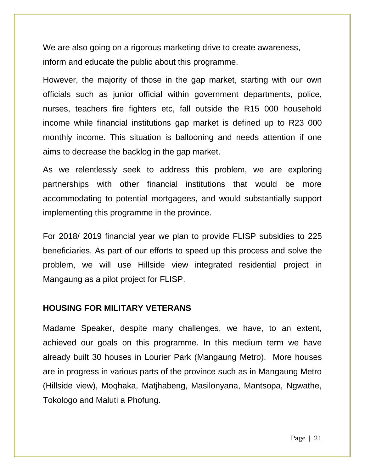We are also going on a rigorous marketing drive to create awareness, inform and educate the public about this programme.

However, the majority of those in the gap market, starting with our own officials such as junior official within government departments, police, nurses, teachers fire fighters etc, fall outside the R15 000 household income while financial institutions gap market is defined up to R23 000 monthly income. This situation is ballooning and needs attention if one aims to decrease the backlog in the gap market.

As we relentlessly seek to address this problem, we are exploring partnerships with other financial institutions that would be more accommodating to potential mortgagees, and would substantially support implementing this programme in the province.

For 2018/ 2019 financial year we plan to provide FLISP subsidies to 225 beneficiaries. As part of our efforts to speed up this process and solve the problem, we will use Hillside view integrated residential project in Mangaung as a pilot project for FLISP.

### **HOUSING FOR MILITARY VETERANS**

Madame Speaker, despite many challenges, we have, to an extent, achieved our goals on this programme. In this medium term we have already built 30 houses in Lourier Park (Mangaung Metro). More houses are in progress in various parts of the province such as in Mangaung Metro (Hillside view), Moqhaka, Matjhabeng, Masilonyana, Mantsopa, Ngwathe, Tokologo and Maluti a Phofung.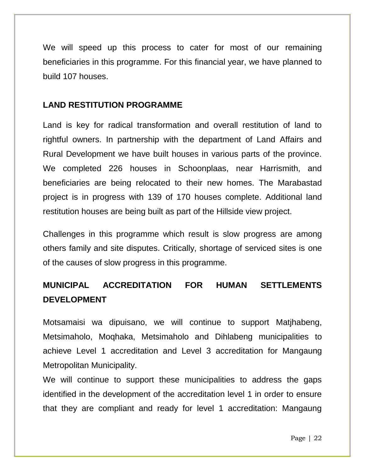We will speed up this process to cater for most of our remaining beneficiaries in this programme. For this financial year, we have planned to build 107 houses.

### **LAND RESTITUTION PROGRAMME**

Land is key for radical transformation and overall restitution of land to rightful owners. In partnership with the department of Land Affairs and Rural Development we have built houses in various parts of the province. We completed 226 houses in Schoonplaas, near Harrismith, and beneficiaries are being relocated to their new homes. The Marabastad project is in progress with 139 of 170 houses complete. Additional land restitution houses are being built as part of the Hillside view project.

Challenges in this programme which result is slow progress are among others family and site disputes. Critically, shortage of serviced sites is one of the causes of slow progress in this programme.

### **MUNICIPAL ACCREDITATION FOR HUMAN SETTLEMENTS DEVELOPMENT**

Motsamaisi wa dipuisano, we will continue to support Matjhabeng, Metsimaholo, Moqhaka, Metsimaholo and Dihlabeng municipalities to achieve Level 1 accreditation and Level 3 accreditation for Mangaung Metropolitan Municipality.

We will continue to support these municipalities to address the gaps identified in the development of the accreditation level 1 in order to ensure that they are compliant and ready for level 1 accreditation: Mangaung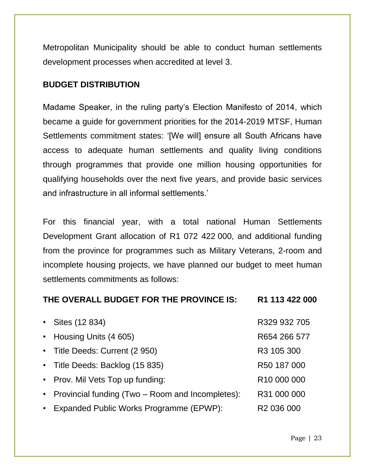Metropolitan Municipality should be able to conduct human settlements development processes when accredited at level 3.

### **BUDGET DISTRIBUTION**

Madame Speaker, in the ruling party's Election Manifesto of 2014, which became a guide for government priorities for the 2014-2019 MTSF, Human Settlements commitment states: '[We will] ensure all South Africans have access to adequate human settlements and quality living conditions through programmes that provide one million housing opportunities for qualifying households over the next five years, and provide basic services and infrastructure in all informal settlements.'

For this financial year, with a total national Human Settlements Development Grant allocation of R1 072 422 000, and additional funding from the province for programmes such as Military Veterans, 2-room and incomplete housing projects, we have planned our budget to meet human settlements commitments as follows:

### **THE OVERALL BUDGET FOR THE PROVINCE IS: R1 113 422 000**

| • Sites $(12 834)$                                 | R329 932 705            |
|----------------------------------------------------|-------------------------|
| • Housing Units (4 605)                            | R654 266 577            |
| • Title Deeds: Current (2 950)                     | R3 105 300              |
| • Title Deeds: Backlog (15 835)                    | R50 187 000             |
| • Prov. Mil Vets Top up funding:                   | R <sub>10</sub> 000 000 |
| • Provincial funding (Two – Room and Incompletes): | R31 000 000             |
| • Expanded Public Works Programme (EPWP):          | R <sub>2</sub> 036 000  |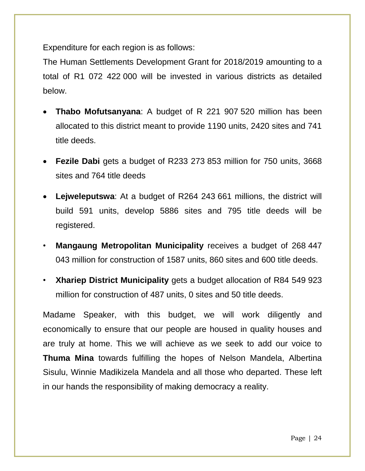Expenditure for each region is as follows:

The Human Settlements Development Grant for 2018/2019 amounting to a total of R1 072 422 000 will be invested in various districts as detailed below.

- **Thabo Mofutsanyana**: A budget of R 221 907 520 million has been allocated to this district meant to provide 1190 units, 2420 sites and 741 title deeds.
- **Fezile Dabi** gets a budget of R233 273 853 million for 750 units, 3668 sites and 764 title deeds
- **Lejweleputswa**: At a budget of R264 243 661 millions, the district will build 591 units, develop 5886 sites and 795 title deeds will be registered.
- **Mangaung Metropolitan Municipality** receives a budget of 268 447 043 million for construction of 1587 units, 860 sites and 600 title deeds.
- **Xhariep District Municipality** gets a budget allocation of R84 549 923 million for construction of 487 units, 0 sites and 50 title deeds.

Madame Speaker, with this budget, we will work diligently and economically to ensure that our people are housed in quality houses and are truly at home. This we will achieve as we seek to add our voice to **Thuma Mina** towards fulfilling the hopes of Nelson Mandela, Albertina Sisulu, Winnie Madikizela Mandela and all those who departed. These left in our hands the responsibility of making democracy a reality.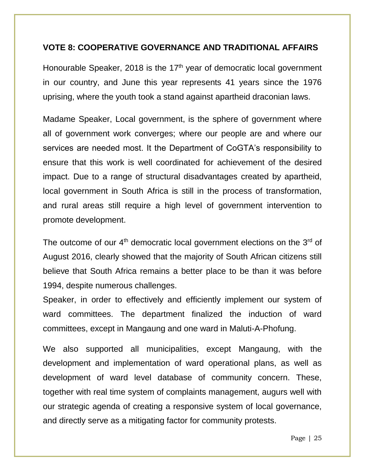### **VOTE 8: COOPERATIVE GOVERNANCE AND TRADITIONAL AFFAIRS**

Honourable Speaker, 2018 is the  $17<sup>th</sup>$  year of democratic local government in our country, and June this year represents 41 years since the 1976 uprising, where the youth took a stand against apartheid draconian laws.

Madame Speaker, Local government, is the sphere of government where all of government work converges; where our people are and where our services are needed most. It the Department of CoGTA's responsibility to ensure that this work is well coordinated for achievement of the desired impact. Due to a range of structural disadvantages created by apartheid, local government in South Africa is still in the process of transformation, and rural areas still require a high level of government intervention to promote development.

The outcome of our  $4<sup>th</sup>$  democratic local government elections on the  $3<sup>rd</sup>$  of August 2016, clearly showed that the majority of South African citizens still believe that South Africa remains a better place to be than it was before 1994, despite numerous challenges.

Speaker, in order to effectively and efficiently implement our system of ward committees. The department finalized the induction of ward committees, except in Mangaung and one ward in Maluti-A-Phofung.

We also supported all municipalities, except Mangaung, with the development and implementation of ward operational plans, as well as development of ward level database of community concern. These, together with real time system of complaints management, augurs well with our strategic agenda of creating a responsive system of local governance, and directly serve as a mitigating factor for community protests.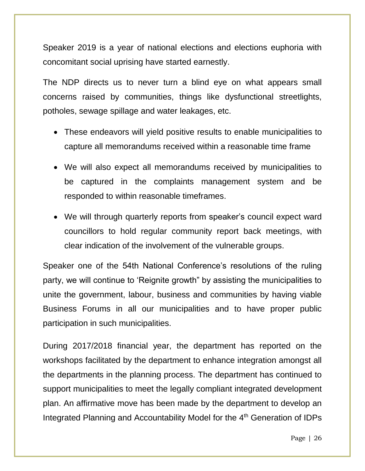Speaker 2019 is a year of national elections and elections euphoria with concomitant social uprising have started earnestly.

The NDP directs us to never turn a blind eye on what appears small concerns raised by communities, things like dysfunctional streetlights, potholes, sewage spillage and water leakages, etc.

- These endeavors will yield positive results to enable municipalities to capture all memorandums received within a reasonable time frame
- We will also expect all memorandums received by municipalities to be captured in the complaints management system and be responded to within reasonable timeframes.
- We will through quarterly reports from speaker's council expect ward councillors to hold regular community report back meetings, with clear indication of the involvement of the vulnerable groups.

Speaker one of the 54th National Conference's resolutions of the ruling party, we will continue to 'Reignite growth" by assisting the municipalities to unite the government, labour, business and communities by having viable Business Forums in all our municipalities and to have proper public participation in such municipalities.

During 2017/2018 financial year, the department has reported on the workshops facilitated by the department to enhance integration amongst all the departments in the planning process. The department has continued to support municipalities to meet the legally compliant integrated development plan. An affirmative move has been made by the department to develop an Integrated Planning and Accountability Model for the 4<sup>th</sup> Generation of IDPs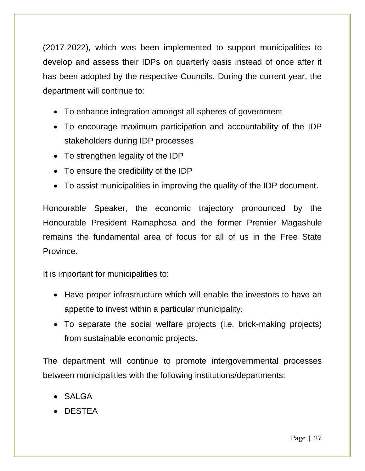(2017-2022), which was been implemented to support municipalities to develop and assess their IDPs on quarterly basis instead of once after it has been adopted by the respective Councils. During the current year, the department will continue to:

- To enhance integration amongst all spheres of government
- To encourage maximum participation and accountability of the IDP stakeholders during IDP processes
- To strengthen legality of the IDP
- To ensure the credibility of the IDP
- To assist municipalities in improving the quality of the IDP document.

Honourable Speaker, the economic trajectory pronounced by the Honourable President Ramaphosa and the former Premier Magashule remains the fundamental area of focus for all of us in the Free State Province.

It is important for municipalities to:

- Have proper infrastructure which will enable the investors to have an appetite to invest within a particular municipality.
- To separate the social welfare projects (i.e. brick-making projects) from sustainable economic projects.

The department will continue to promote intergovernmental processes between municipalities with the following institutions/departments:

- SALGA
- DESTEA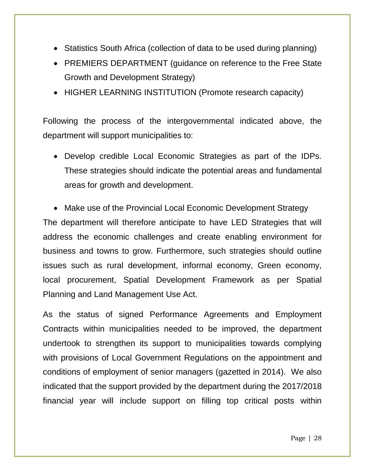- Statistics South Africa (collection of data to be used during planning)
- PREMIERS DEPARTMENT (quidance on reference to the Free State Growth and Development Strategy)
- HIGHER LEARNING INSTITUTION (Promote research capacity)

Following the process of the intergovernmental indicated above, the department will support municipalities to:

 Develop credible Local Economic Strategies as part of the IDPs. These strategies should indicate the potential areas and fundamental areas for growth and development.

• Make use of the Provincial Local Economic Development Strategy The department will therefore anticipate to have LED Strategies that will address the economic challenges and create enabling environment for business and towns to grow. Furthermore, such strategies should outline issues such as rural development, informal economy, Green economy, local procurement, Spatial Development Framework as per Spatial Planning and Land Management Use Act.

As the status of signed Performance Agreements and Employment Contracts within municipalities needed to be improved, the department undertook to strengthen its support to municipalities towards complying with provisions of Local Government Regulations on the appointment and conditions of employment of senior managers (gazetted in 2014). We also indicated that the support provided by the department during the 2017/2018 financial year will include support on filling top critical posts within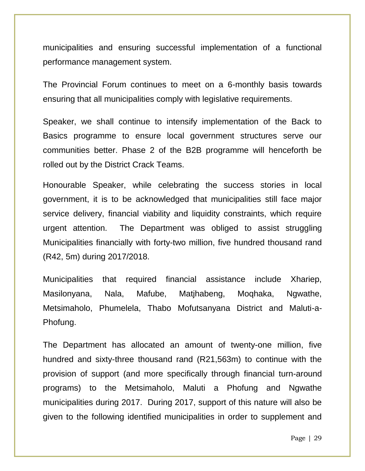municipalities and ensuring successful implementation of a functional performance management system.

The Provincial Forum continues to meet on a 6-monthly basis towards ensuring that all municipalities comply with legislative requirements.

Speaker, we shall continue to intensify implementation of the Back to Basics programme to ensure local government structures serve our communities better. Phase 2 of the B2B programme will henceforth be rolled out by the District Crack Teams.

Honourable Speaker, while celebrating the success stories in local government, it is to be acknowledged that municipalities still face major service delivery, financial viability and liquidity constraints, which require urgent attention. The Department was obliged to assist struggling Municipalities financially with forty-two million, five hundred thousand rand (R42, 5m) during 2017/2018.

Municipalities that required financial assistance include Xhariep, Masilonyana, Nala, Mafube, Matjhabeng, Moqhaka, Ngwathe, Metsimaholo, Phumelela, Thabo Mofutsanyana District and Maluti-a-Phofung.

The Department has allocated an amount of twenty-one million, five hundred and sixty-three thousand rand (R21,563m) to continue with the provision of support (and more specifically through financial turn-around programs) to the Metsimaholo, Maluti a Phofung and Ngwathe municipalities during 2017. During 2017, support of this nature will also be given to the following identified municipalities in order to supplement and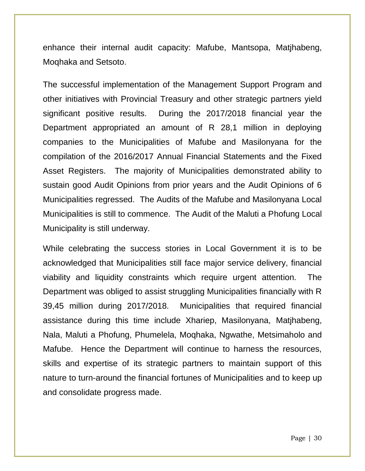enhance their internal audit capacity: Mafube, Mantsopa, Matjhabeng, Moqhaka and Setsoto.

The successful implementation of the Management Support Program and other initiatives with Provincial Treasury and other strategic partners yield significant positive results. During the 2017/2018 financial year the Department appropriated an amount of R 28,1 million in deploying companies to the Municipalities of Mafube and Masilonyana for the compilation of the 2016/2017 Annual Financial Statements and the Fixed Asset Registers. The majority of Municipalities demonstrated ability to sustain good Audit Opinions from prior years and the Audit Opinions of 6 Municipalities regressed. The Audits of the Mafube and Masilonyana Local Municipalities is still to commence. The Audit of the Maluti a Phofung Local Municipality is still underway.

While celebrating the success stories in Local Government it is to be acknowledged that Municipalities still face major service delivery, financial viability and liquidity constraints which require urgent attention. The Department was obliged to assist struggling Municipalities financially with R 39,45 million during 2017/2018. Municipalities that required financial assistance during this time include Xhariep, Masilonyana, Matjhabeng, Nala, Maluti a Phofung, Phumelela, Moqhaka, Ngwathe, Metsimaholo and Mafube. Hence the Department will continue to harness the resources, skills and expertise of its strategic partners to maintain support of this nature to turn-around the financial fortunes of Municipalities and to keep up and consolidate progress made.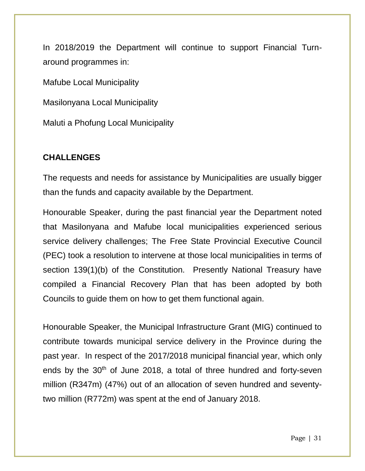In 2018/2019 the Department will continue to support Financial Turnaround programmes in:

Mafube Local Municipality

Masilonyana Local Municipality

Maluti a Phofung Local Municipality

### **CHALLENGES**

The requests and needs for assistance by Municipalities are usually bigger than the funds and capacity available by the Department.

Honourable Speaker, during the past financial year the Department noted that Masilonyana and Mafube local municipalities experienced serious service delivery challenges; The Free State Provincial Executive Council (PEC) took a resolution to intervene at those local municipalities in terms of section 139(1)(b) of the Constitution. Presently National Treasury have compiled a Financial Recovery Plan that has been adopted by both Councils to guide them on how to get them functional again.

Honourable Speaker, the Municipal Infrastructure Grant (MIG) continued to contribute towards municipal service delivery in the Province during the past year. In respect of the 2017/2018 municipal financial year, which only ends by the 30<sup>th</sup> of June 2018, a total of three hundred and forty-seven million (R347m) (47%) out of an allocation of seven hundred and seventytwo million (R772m) was spent at the end of January 2018.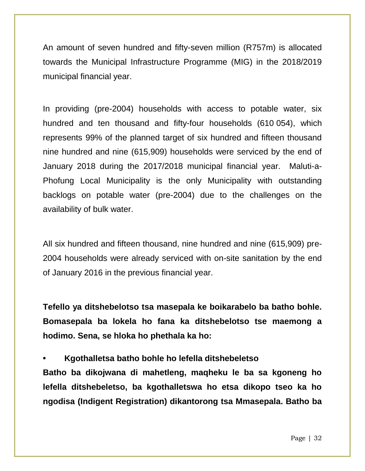An amount of seven hundred and fifty-seven million (R757m) is allocated towards the Municipal Infrastructure Programme (MIG) in the 2018/2019 municipal financial year.

In providing (pre-2004) households with access to potable water, six hundred and ten thousand and fifty-four households (610 054), which represents 99% of the planned target of six hundred and fifteen thousand nine hundred and nine (615,909) households were serviced by the end of January 2018 during the 2017/2018 municipal financial year. Maluti-a-Phofung Local Municipality is the only Municipality with outstanding backlogs on potable water (pre-2004) due to the challenges on the availability of bulk water.

All six hundred and fifteen thousand, nine hundred and nine (615,909) pre-2004 households were already serviced with on-site sanitation by the end of January 2016 in the previous financial year.

**Tefello ya ditshebelotso tsa masepala ke boikarabelo ba batho bohle. Bomasepala ba lokela ho fana ka ditshebelotso tse maemong a hodimo. Sena, se hloka ho phethala ka ho:**

**• Kgothalletsa batho bohle ho lefella ditshebeletso**

**Batho ba dikojwana di mahetleng, maqheku le ba sa kgoneng ho lefella ditshebeletso, ba kgothalletswa ho etsa dikopo tseo ka ho ngodisa (Indigent Registration) dikantorong tsa Mmasepala. Batho ba**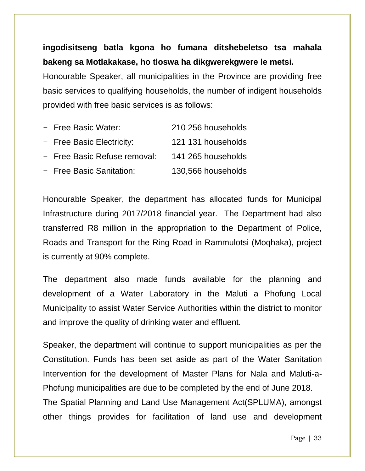### **ingodisitseng batla kgona ho fumana ditshebeletso tsa mahala bakeng sa Motlakakase, ho tloswa ha dikgwerekgwere le metsi.**

Honourable Speaker, all municipalities in the Province are providing free basic services to qualifying households, the number of indigent households provided with free basic services is as follows:

| - Free Basic Water:          | 210 256 households |
|------------------------------|--------------------|
| - Free Basic Electricity:    | 121 131 households |
| - Free Basic Refuse removal: | 141 265 households |
| - Free Basic Sanitation:     | 130,566 households |

Honourable Speaker, the department has allocated funds for Municipal Infrastructure during 2017/2018 financial year. The Department had also transferred R8 million in the appropriation to the Department of Police, Roads and Transport for the Ring Road in Rammulotsi (Moqhaka), project is currently at 90% complete.

The department also made funds available for the planning and development of a Water Laboratory in the Maluti a Phofung Local Municipality to assist Water Service Authorities within the district to monitor and improve the quality of drinking water and effluent.

Speaker, the department will continue to support municipalities as per the Constitution. Funds has been set aside as part of the Water Sanitation Intervention for the development of Master Plans for Nala and Maluti-a-Phofung municipalities are due to be completed by the end of June 2018. The Spatial Planning and Land Use Management Act(SPLUMA), amongst other things provides for facilitation of land use and development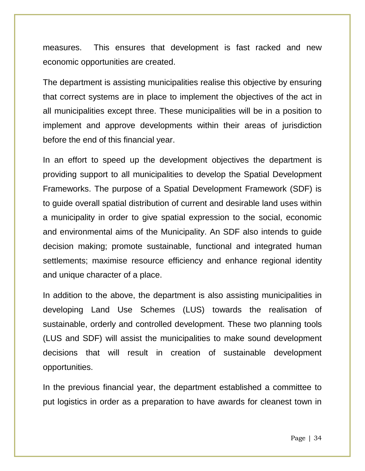measures. This ensures that development is fast racked and new economic opportunities are created.

The department is assisting municipalities realise this objective by ensuring that correct systems are in place to implement the objectives of the act in all municipalities except three. These municipalities will be in a position to implement and approve developments within their areas of jurisdiction before the end of this financial year.

In an effort to speed up the development objectives the department is providing support to all municipalities to develop the Spatial Development Frameworks. The purpose of a Spatial Development Framework (SDF) is to guide overall spatial distribution of current and desirable land uses within a municipality in order to give spatial expression to the social, economic and environmental aims of the Municipality. An SDF also intends to guide decision making; promote sustainable, functional and integrated human settlements; maximise resource efficiency and enhance regional identity and unique character of a place.

In addition to the above, the department is also assisting municipalities in developing Land Use Schemes (LUS) towards the realisation of sustainable, orderly and controlled development. These two planning tools (LUS and SDF) will assist the municipalities to make sound development decisions that will result in creation of sustainable development opportunities.

In the previous financial year, the department established a committee to put logistics in order as a preparation to have awards for cleanest town in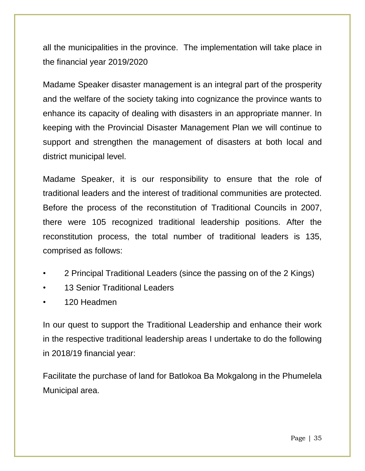all the municipalities in the province. The implementation will take place in the financial year 2019/2020

Madame Speaker disaster management is an integral part of the prosperity and the welfare of the society taking into cognizance the province wants to enhance its capacity of dealing with disasters in an appropriate manner. In keeping with the Provincial Disaster Management Plan we will continue to support and strengthen the management of disasters at both local and district municipal level.

Madame Speaker, it is our responsibility to ensure that the role of traditional leaders and the interest of traditional communities are protected. Before the process of the reconstitution of Traditional Councils in 2007, there were 105 recognized traditional leadership positions. After the reconstitution process, the total number of traditional leaders is 135, comprised as follows:

- 2 Principal Traditional Leaders (since the passing on of the 2 Kings)
- 13 Senior Traditional Leaders
- 120 Headmen

In our quest to support the Traditional Leadership and enhance their work in the respective traditional leadership areas I undertake to do the following in 2018/19 financial year:

Facilitate the purchase of land for Batlokoa Ba Mokgalong in the Phumelela Municipal area.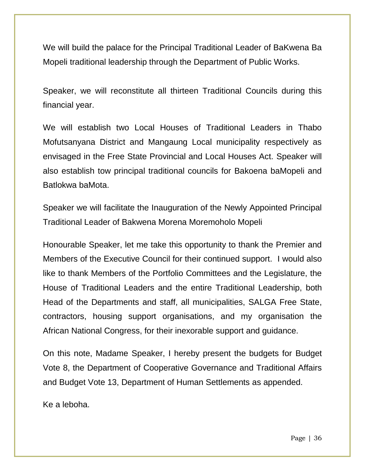We will build the palace for the Principal Traditional Leader of BaKwena Ba Mopeli traditional leadership through the Department of Public Works.

Speaker, we will reconstitute all thirteen Traditional Councils during this financial year.

We will establish two Local Houses of Traditional Leaders in Thabo Mofutsanyana District and Mangaung Local municipality respectively as envisaged in the Free State Provincial and Local Houses Act. Speaker will also establish tow principal traditional councils for Bakoena baMopeli and Batlokwa baMota.

Speaker we will facilitate the Inauguration of the Newly Appointed Principal Traditional Leader of Bakwena Morena Moremoholo Mopeli

Honourable Speaker, let me take this opportunity to thank the Premier and Members of the Executive Council for their continued support. I would also like to thank Members of the Portfolio Committees and the Legislature, the House of Traditional Leaders and the entire Traditional Leadership, both Head of the Departments and staff, all municipalities, SALGA Free State, contractors, housing support organisations, and my organisation the African National Congress, for their inexorable support and guidance.

On this note, Madame Speaker, I hereby present the budgets for Budget Vote 8, the Department of Cooperative Governance and Traditional Affairs and Budget Vote 13, Department of Human Settlements as appended.

Ke a leboha.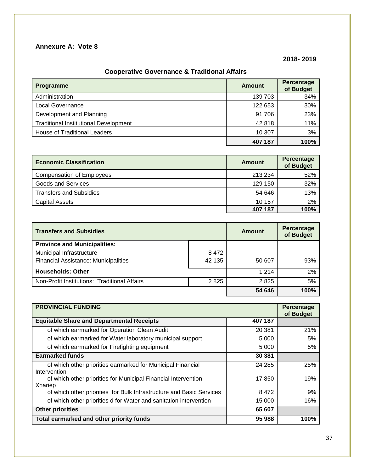#### **Annexure A: Vote 8**

#### **2018- 2019**

#### **Cooperative Governance & Traditional Affairs**

| Programme                                    | Amount  | Percentage<br>of Budget |
|----------------------------------------------|---------|-------------------------|
| Administration                               | 139 703 | 34%                     |
| Local Governance                             | 122 653 | 30%                     |
| Development and Planning                     | 91 706  | 23%                     |
| <b>Traditional Institutional Development</b> | 42818   | 11%                     |
| <b>House of Traditional Leaders</b>          | 10 307  | 3%                      |
|                                              | 407 187 | 100%                    |

| <b>Economic Classification</b>   | Amount  | Percentage<br>of Budget |
|----------------------------------|---------|-------------------------|
| <b>Compensation of Employees</b> | 213 234 | 52%                     |
| Goods and Services               | 129 150 | 32%                     |
| <b>Transfers and Subsidies</b>   | 54 646  | 13%                     |
| <b>Capital Assets</b>            | 10 157  | 2%                      |
|                                  | 407 187 | 100%                    |

| <b>Transfers and Subsidies</b>               |        | Amount  | <b>Percentage</b><br>of Budget |
|----------------------------------------------|--------|---------|--------------------------------|
| <b>Province and Municipalities:</b>          |        |         |                                |
| Municipal Infrastructure                     | 8472   |         |                                |
| Financial Assistance: Municipalities         | 42 135 | 50 607  | 93%                            |
| <b>Households: Other</b>                     |        | 1 2 1 4 | 2%                             |
| Non-Profit Institutions: Traditional Affairs | 2825   | 2825    | 5%                             |
|                                              |        | 54 646  | 100%                           |

| <b>PROVINCIAL FUNDING</b>                                            |        |      |  |
|----------------------------------------------------------------------|--------|------|--|
| <b>Equitable Share and Departmental Receipts</b><br>407 187          |        |      |  |
| of which earmarked for Operation Clean Audit                         | 20 381 | 21%  |  |
| of which earmarked for Water laboratory municipal support            | 5 000  | 5%   |  |
| of which earmarked for Firefighting equipment                        | 5 000  | 5%   |  |
| <b>Earmarked funds</b>                                               | 30 381 |      |  |
| of which other priorities earmarked for Municipal Financial          | 24 285 | 25%  |  |
| Intervention                                                         |        |      |  |
| of which other priorities for Municipal Financial Intervention       | 17850  | 19%  |  |
| Xhariep                                                              |        |      |  |
| of which other priorities for Bulk Infrastructure and Basic Services | 8472   | 9%   |  |
| of which other priorities d for Water and sanitation intervention    | 15 000 | 16%  |  |
| <b>Other priorities</b>                                              | 65 607 |      |  |
| Total earmarked and other priority funds                             | 95 988 | 100% |  |